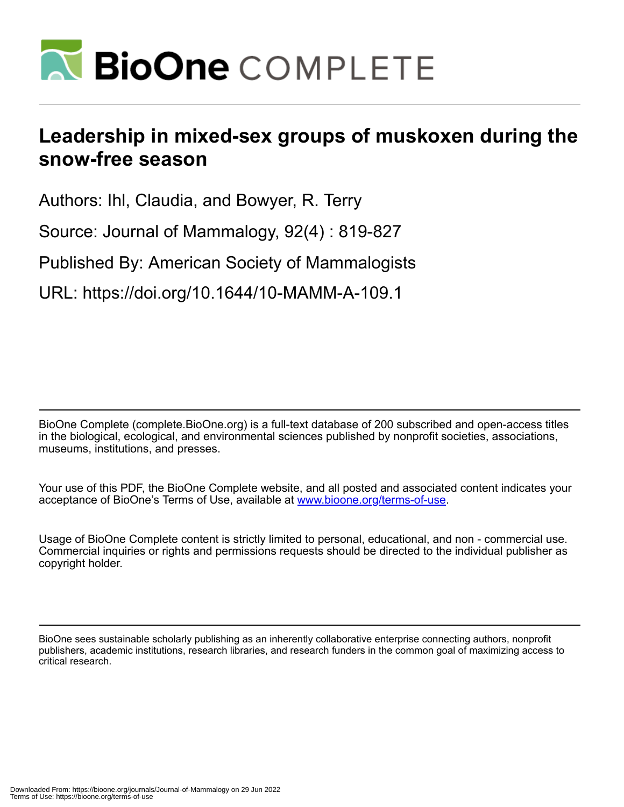

# **Leadership in mixed-sex groups of muskoxen during the snow-free season**

Authors: Ihl, Claudia, and Bowyer, R. Terry

Source: Journal of Mammalogy, 92(4) : 819-827

Published By: American Society of Mammalogists

URL: https://doi.org/10.1644/10-MAMM-A-109.1

BioOne Complete (complete.BioOne.org) is a full-text database of 200 subscribed and open-access titles in the biological, ecological, and environmental sciences published by nonprofit societies, associations, museums, institutions, and presses.

Your use of this PDF, the BioOne Complete website, and all posted and associated content indicates your acceptance of BioOne's Terms of Use, available at www.bioone.org/terms-of-use.

Usage of BioOne Complete content is strictly limited to personal, educational, and non - commercial use. Commercial inquiries or rights and permissions requests should be directed to the individual publisher as copyright holder.

BioOne sees sustainable scholarly publishing as an inherently collaborative enterprise connecting authors, nonprofit publishers, academic institutions, research libraries, and research funders in the common goal of maximizing access to critical research.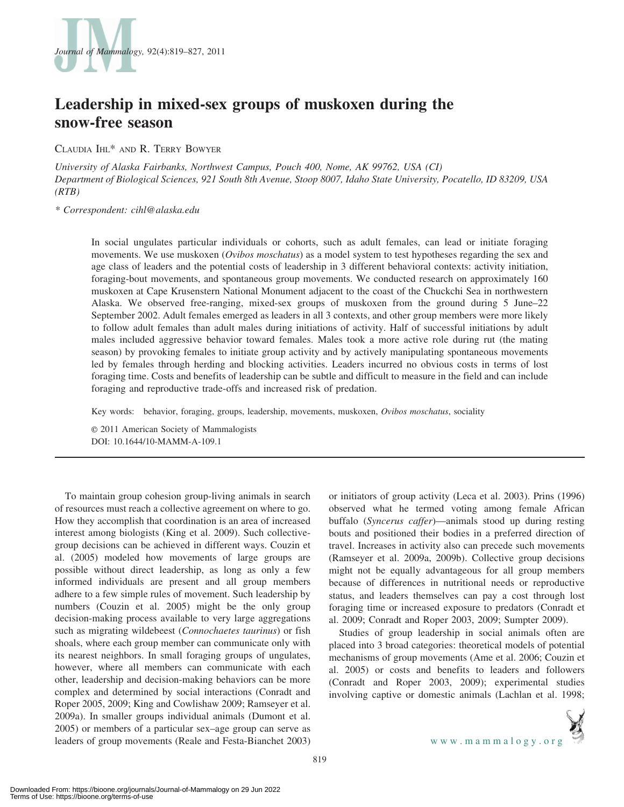

# Leadership in mixed-sex groups of muskoxen during the snow-free season

CLAUDIA IHL\* AND R. TERRY BOWYER

University of Alaska Fairbanks, Northwest Campus, Pouch 400, Nome, AK 99762, USA (CI) Department of Biological Sciences, 921 South 8th Avenue, Stoop 8007, Idaho State University, Pocatello, ID 83209, USA (RTB)

\* Correspondent: cihl@alaska.edu

In social ungulates particular individuals or cohorts, such as adult females, can lead or initiate foraging movements. We use muskoxen (Ovibos moschatus) as a model system to test hypotheses regarding the sex and age class of leaders and the potential costs of leadership in 3 different behavioral contexts: activity initiation, foraging-bout movements, and spontaneous group movements. We conducted research on approximately 160 muskoxen at Cape Krusenstern National Monument adjacent to the coast of the Chuckchi Sea in northwestern Alaska. We observed free-ranging, mixed-sex groups of muskoxen from the ground during 5 June–22 September 2002. Adult females emerged as leaders in all 3 contexts, and other group members were more likely to follow adult females than adult males during initiations of activity. Half of successful initiations by adult males included aggressive behavior toward females. Males took a more active role during rut (the mating season) by provoking females to initiate group activity and by actively manipulating spontaneous movements led by females through herding and blocking activities. Leaders incurred no obvious costs in terms of lost foraging time. Costs and benefits of leadership can be subtle and difficult to measure in the field and can include foraging and reproductive trade-offs and increased risk of predation.

Key words: behavior, foraging, groups, leadership, movements, muskoxen, Ovibos moschatus, sociality

E 2011 American Society of Mammalogists DOI: 10.1644/10-MAMM-A-109.1

To maintain group cohesion group-living animals in search of resources must reach a collective agreement on where to go. How they accomplish that coordination is an area of increased interest among biologists (King et al. 2009). Such collectivegroup decisions can be achieved in different ways. Couzin et al. (2005) modeled how movements of large groups are possible without direct leadership, as long as only a few informed individuals are present and all group members adhere to a few simple rules of movement. Such leadership by numbers (Couzin et al. 2005) might be the only group decision-making process available to very large aggregations such as migrating wildebeest (*Connochaetes taurinus*) or fish shoals, where each group member can communicate only with its nearest neighbors. In small foraging groups of ungulates, however, where all members can communicate with each other, leadership and decision-making behaviors can be more complex and determined by social interactions (Conradt and Roper 2005, 2009; King and Cowlishaw 2009; Ramseyer et al. 2009a). In smaller groups individual animals (Dumont et al. 2005) or members of a particular sex–age group can serve as leaders of group movements (Reale and Festa-Bianchet 2003) or initiators of group activity (Leca et al. 2003). Prins (1996) observed what he termed voting among female African buffalo (Syncerus caffer)—animals stood up during resting bouts and positioned their bodies in a preferred direction of travel. Increases in activity also can precede such movements (Ramseyer et al. 2009a, 2009b). Collective group decisions might not be equally advantageous for all group members because of differences in nutritional needs or reproductive status, and leaders themselves can pay a cost through lost foraging time or increased exposure to predators (Conradt et al. 2009; Conradt and Roper 2003, 2009; Sumpter 2009).

Studies of group leadership in social animals often are placed into 3 broad categories: theoretical models of potential mechanisms of group movements (Ame et al. 2006; Couzin et al. 2005) or costs and benefits to leaders and followers (Conradt and Roper 2003, 2009); experimental studies involving captive or domestic animals (Lachlan et al. 1998;

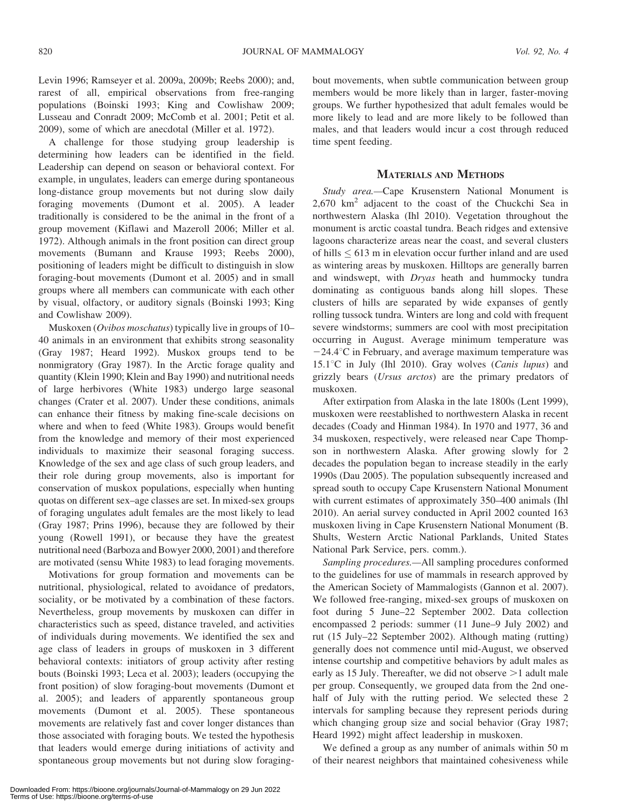Levin 1996; Ramseyer et al. 2009a, 2009b; Reebs 2000); and, rarest of all, empirical observations from free-ranging populations (Boinski 1993; King and Cowlishaw 2009; Lusseau and Conradt 2009; McComb et al. 2001; Petit et al. 2009), some of which are anecdotal (Miller et al. 1972).

A challenge for those studying group leadership is determining how leaders can be identified in the field. Leadership can depend on season or behavioral context. For example, in ungulates, leaders can emerge during spontaneous long-distance group movements but not during slow daily foraging movements (Dumont et al. 2005). A leader traditionally is considered to be the animal in the front of a group movement (Kiflawi and Mazeroll 2006; Miller et al. 1972). Although animals in the front position can direct group movements (Bumann and Krause 1993; Reebs 2000), positioning of leaders might be difficult to distinguish in slow foraging-bout movements (Dumont et al. 2005) and in small groups where all members can communicate with each other by visual, olfactory, or auditory signals (Boinski 1993; King and Cowlishaw 2009).

Muskoxen (Ovibos moschatus) typically live in groups of 10– 40 animals in an environment that exhibits strong seasonality (Gray 1987; Heard 1992). Muskox groups tend to be nonmigratory (Gray 1987). In the Arctic forage quality and quantity (Klein 1990; Klein and Bay 1990) and nutritional needs of large herbivores (White 1983) undergo large seasonal changes (Crater et al. 2007). Under these conditions, animals can enhance their fitness by making fine-scale decisions on where and when to feed (White 1983). Groups would benefit from the knowledge and memory of their most experienced individuals to maximize their seasonal foraging success. Knowledge of the sex and age class of such group leaders, and their role during group movements, also is important for conservation of muskox populations, especially when hunting quotas on different sex–age classes are set. In mixed-sex groups of foraging ungulates adult females are the most likely to lead (Gray 1987; Prins 1996), because they are followed by their young (Rowell 1991), or because they have the greatest nutritional need (Barboza and Bowyer 2000, 2001) and therefore are motivated (sensu White 1983) to lead foraging movements.

Motivations for group formation and movements can be nutritional, physiological, related to avoidance of predators, sociality, or be motivated by a combination of these factors. Nevertheless, group movements by muskoxen can differ in characteristics such as speed, distance traveled, and activities of individuals during movements. We identified the sex and age class of leaders in groups of muskoxen in 3 different behavioral contexts: initiators of group activity after resting bouts (Boinski 1993; Leca et al. 2003); leaders (occupying the front position) of slow foraging-bout movements (Dumont et al. 2005); and leaders of apparently spontaneous group movements (Dumont et al. 2005). These spontaneous movements are relatively fast and cover longer distances than those associated with foraging bouts. We tested the hypothesis that leaders would emerge during initiations of activity and spontaneous group movements but not during slow foragingbout movements, when subtle communication between group members would be more likely than in larger, faster-moving groups. We further hypothesized that adult females would be more likely to lead and are more likely to be followed than males, and that leaders would incur a cost through reduced time spent feeding.

## MATERIALS AND METHODS

Study area.—Cape Krusenstern National Monument is 2,670 km2 adjacent to the coast of the Chuckchi Sea in northwestern Alaska (Ihl 2010). Vegetation throughout the monument is arctic coastal tundra. Beach ridges and extensive lagoons characterize areas near the coast, and several clusters of hills  $\leq 613$  m in elevation occur further inland and are used as wintering areas by muskoxen. Hilltops are generally barren and windswept, with Dryas heath and hummocky tundra dominating as contiguous bands along hill slopes. These clusters of hills are separated by wide expanses of gently rolling tussock tundra. Winters are long and cold with frequent severe windstorms; summers are cool with most precipitation occurring in August. Average minimum temperature was  $-24.4$ <sup>o</sup>C in February, and average maximum temperature was 15.1 $\degree$ C in July (Ihl 2010). Gray wolves (Canis lupus) and grizzly bears (Ursus arctos) are the primary predators of muskoxen.

After extirpation from Alaska in the late 1800s (Lent 1999), muskoxen were reestablished to northwestern Alaska in recent decades (Coady and Hinman 1984). In 1970 and 1977, 36 and 34 muskoxen, respectively, were released near Cape Thompson in northwestern Alaska. After growing slowly for 2 decades the population began to increase steadily in the early 1990s (Dau 2005). The population subsequently increased and spread south to occupy Cape Krusenstern National Monument with current estimates of approximately 350–400 animals (Ihl 2010). An aerial survey conducted in April 2002 counted 163 muskoxen living in Cape Krusenstern National Monument (B. Shults, Western Arctic National Parklands, United States National Park Service, pers. comm.).

Sampling procedures.—All sampling procedures conformed to the guidelines for use of mammals in research approved by the American Society of Mammalogists (Gannon et al. 2007). We followed free-ranging, mixed-sex groups of muskoxen on foot during 5 June–22 September 2002. Data collection encompassed 2 periods: summer (11 June–9 July 2002) and rut (15 July–22 September 2002). Although mating (rutting) generally does not commence until mid-August, we observed intense courtship and competitive behaviors by adult males as early as 15 July. Thereafter, we did not observe  $>1$  adult male per group. Consequently, we grouped data from the 2nd onehalf of July with the rutting period. We selected these 2 intervals for sampling because they represent periods during which changing group size and social behavior (Gray 1987; Heard 1992) might affect leadership in muskoxen.

We defined a group as any number of animals within 50 m of their nearest neighbors that maintained cohesiveness while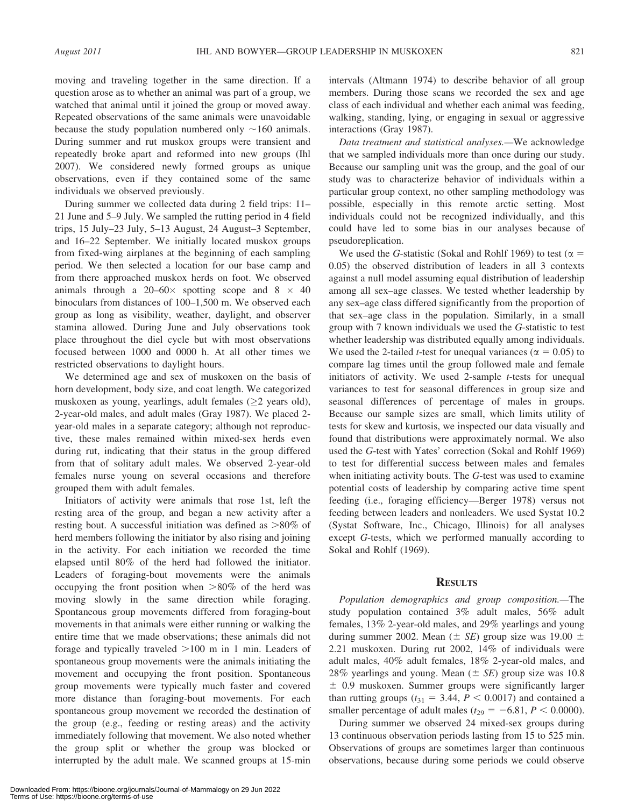moving and traveling together in the same direction. If a question arose as to whether an animal was part of a group, we watched that animal until it joined the group or moved away. Repeated observations of the same animals were unavoidable because the study population numbered only  $\sim$ 160 animals. During summer and rut muskox groups were transient and repeatedly broke apart and reformed into new groups (Ihl 2007). We considered newly formed groups as unique observations, even if they contained some of the same individuals we observed previously.

During summer we collected data during 2 field trips: 11– 21 June and 5–9 July. We sampled the rutting period in 4 field trips, 15 July–23 July, 5–13 August, 24 August–3 September, and 16–22 September. We initially located muskox groups from fixed-wing airplanes at the beginning of each sampling period. We then selected a location for our base camp and from there approached muskox herds on foot. We observed animals through a 20–60 $\times$  spotting scope and 8  $\times$  40 binoculars from distances of 100–1,500 m. We observed each group as long as visibility, weather, daylight, and observer stamina allowed. During June and July observations took place throughout the diel cycle but with most observations focused between 1000 and 0000 h. At all other times we restricted observations to daylight hours.

We determined age and sex of muskoxen on the basis of horn development, body size, and coat length. We categorized muskoxen as young, yearlings, adult females  $(\geq 2$  years old), 2-year-old males, and adult males (Gray 1987). We placed 2 year-old males in a separate category; although not reproductive, these males remained within mixed-sex herds even during rut, indicating that their status in the group differed from that of solitary adult males. We observed 2-year-old females nurse young on several occasions and therefore grouped them with adult females.

Initiators of activity were animals that rose 1st, left the resting area of the group, and began a new activity after a resting bout. A successful initiation was defined as  $>80\%$  of herd members following the initiator by also rising and joining in the activity. For each initiation we recorded the time elapsed until 80% of the herd had followed the initiator. Leaders of foraging-bout movements were the animals occupying the front position when  $>80\%$  of the herd was moving slowly in the same direction while foraging. Spontaneous group movements differed from foraging-bout movements in that animals were either running or walking the entire time that we made observations; these animals did not forage and typically traveled  $>100$  m in 1 min. Leaders of spontaneous group movements were the animals initiating the movement and occupying the front position. Spontaneous group movements were typically much faster and covered more distance than foraging-bout movements. For each spontaneous group movement we recorded the destination of the group (e.g., feeding or resting areas) and the activity immediately following that movement. We also noted whether the group split or whether the group was blocked or interrupted by the adult male. We scanned groups at 15-min intervals (Altmann 1974) to describe behavior of all group members. During those scans we recorded the sex and age class of each individual and whether each animal was feeding, walking, standing, lying, or engaging in sexual or aggressive interactions (Gray 1987).

Data treatment and statistical analyses.—We acknowledge that we sampled individuals more than once during our study. Because our sampling unit was the group, and the goal of our study was to characterize behavior of individuals within a particular group context, no other sampling methodology was possible, especially in this remote arctic setting. Most individuals could not be recognized individually, and this could have led to some bias in our analyses because of pseudoreplication.

We used the G-statistic (Sokal and Rohlf 1969) to test ( $\alpha =$ 0.05) the observed distribution of leaders in all 3 contexts against a null model assuming equal distribution of leadership among all sex–age classes. We tested whether leadership by any sex–age class differed significantly from the proportion of that sex–age class in the population. Similarly, in a small group with 7 known individuals we used the G-statistic to test whether leadership was distributed equally among individuals. We used the 2-tailed *t*-test for unequal variances ( $\alpha = 0.05$ ) to compare lag times until the group followed male and female initiators of activity. We used 2-sample *t*-tests for unequal variances to test for seasonal differences in group size and seasonal differences of percentage of males in groups. Because our sample sizes are small, which limits utility of tests for skew and kurtosis, we inspected our data visually and found that distributions were approximately normal. We also used the G-test with Yates' correction (Sokal and Rohlf 1969) to test for differential success between males and females when initiating activity bouts. The G-test was used to examine potential costs of leadership by comparing active time spent feeding (i.e., foraging efficiency—Berger 1978) versus not feeding between leaders and nonleaders. We used Systat 10.2 (Systat Software, Inc., Chicago, Illinois) for all analyses except G-tests, which we performed manually according to Sokal and Rohlf (1969).

# **RESULTS**

Population demographics and group composition.—The study population contained 3% adult males, 56% adult females, 13% 2-year-old males, and 29% yearlings and young during summer 2002. Mean ( $\pm$  *SE*) group size was 19.00  $\pm$ 2.21 muskoxen. During rut 2002, 14% of individuals were adult males, 40% adult females, 18% 2-year-old males, and 28% yearlings and young. Mean  $(\pm \text{ } SE)$  group size was 10.8  $\pm$  0.9 muskoxen. Summer groups were significantly larger than rutting groups ( $t_{31} = 3.44$ ,  $P < 0.0017$ ) and contained a smaller percentage of adult males ( $t_{29} = -6.81, P < 0.0000$ ).

During summer we observed 24 mixed-sex groups during 13 continuous observation periods lasting from 15 to 525 min. Observations of groups are sometimes larger than continuous observations, because during some periods we could observe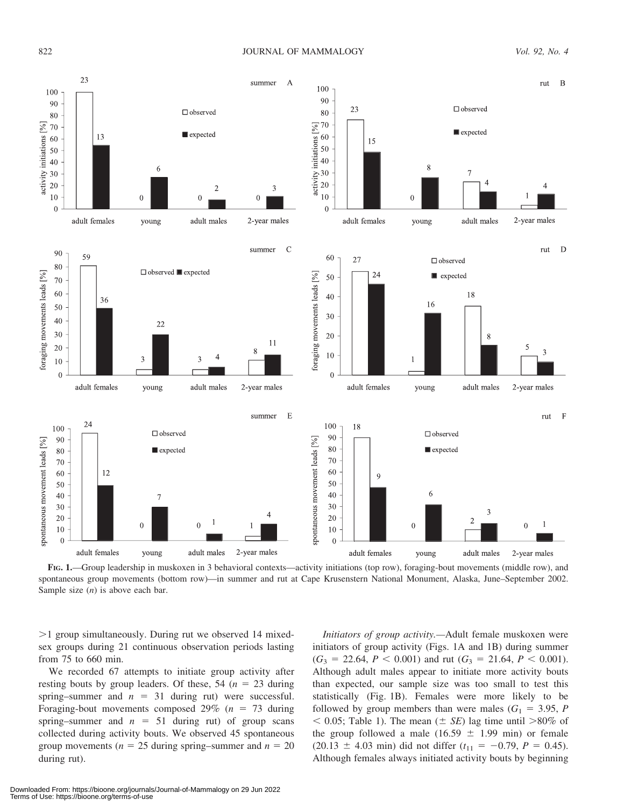

FIG. 1.—Group leadership in muskoxen in 3 behavioral contexts—activity initiations (top row), foraging-bout movements (middle row), and spontaneous group movements (bottom row)—in summer and rut at Cape Krusenstern National Monument, Alaska, June–September 2002. Sample size  $(n)$  is above each bar.

 $>1$  group simultaneously. During rut we observed 14 mixedsex groups during 21 continuous observation periods lasting from 75 to 660 min.

We recorded 67 attempts to initiate group activity after resting bouts by group leaders. Of these, 54 ( $n = 23$  during spring–summer and  $n = 31$  during rut) were successful. Foraging-bout movements composed 29% ( $n = 73$  during spring–summer and  $n = 51$  during rut) of group scans collected during activity bouts. We observed 45 spontaneous group movements ( $n = 25$  during spring–summer and  $n = 20$ during rut).

Initiators of group activity.—Adult female muskoxen were initiators of group activity (Figs. 1A and 1B) during summer  $(G_3 = 22.64, P < 0.001)$  and rut  $(G_3 = 21.64, P < 0.001)$ . Although adult males appear to initiate more activity bouts than expected, our sample size was too small to test this statistically (Fig. 1B). Females were more likely to be followed by group members than were males  $(G_1 = 3.95, P)$  $<$  0.05; Table 1). The mean ( $\pm$  *SE*) lag time until  $>80\%$  of the group followed a male (16.59  $\pm$  1.99 min) or female  $(20.13 \pm 4.03 \text{ min})$  did not differ  $(t_{11} = -0.79, P = 0.45)$ . Although females always initiated activity bouts by beginning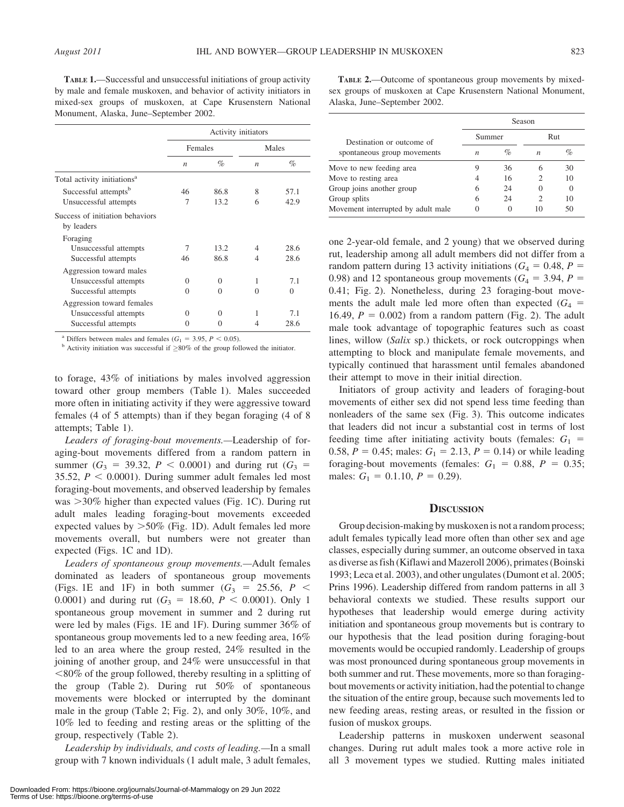TABLE 1.—Successful and unsuccessful initiations of group activity by male and female muskoxen, and behavior of activity initiators in mixed-sex groups of muskoxen, at Cape Krusenstern National Monument, Alaska, June–September 2002.

|                                               | Activity initiators |                   |                  |          |  |
|-----------------------------------------------|---------------------|-------------------|------------------|----------|--|
|                                               | Females             |                   | Males            |          |  |
|                                               | $\boldsymbol{n}$    | $\%$              | $\boldsymbol{n}$ | $\%$     |  |
| Total activity initiations <sup>a</sup>       |                     |                   |                  |          |  |
| Successful attempts <sup>b</sup>              | 46                  | 86.8              | 8                | 57.1     |  |
| Unsuccessful attempts                         | 7                   | 13.2              | 6                | 42.9     |  |
| Success of initiation behaviors<br>by leaders |                     |                   |                  |          |  |
| Foraging                                      |                     |                   |                  |          |  |
| Unsuccessful attempts                         | 7                   | 13.2              | 4                | 28.6     |  |
| Successful attempts                           | 46                  | 86.8              | 4                | 28.6     |  |
| Aggression toward males                       |                     |                   |                  |          |  |
| Unsuccessful attempts                         | $\Omega$            | $\Omega$          | 1                | 7.1      |  |
| Successful attempts                           | $\Omega$            | $\Omega$          | 0                | $\Omega$ |  |
| Aggression toward females                     |                     |                   |                  |          |  |
| Unsuccessful attempts                         | $\Omega$            | $\Omega$          | 1                | 7.1      |  |
| Successful attempts                           | $\Omega$            | $\mathbf{\Omega}$ | 4                | 28.6     |  |

<sup>a</sup> Differs between males and females ( $G_1 = 3.95$ ,  $P < 0.05$ ). b Activity initiation was successful if  $>80\%$  of the group followed the initiator.

to forage, 43% of initiations by males involved aggression toward other group members (Table 1). Males succeeded more often in initiating activity if they were aggressive toward females (4 of 5 attempts) than if they began foraging (4 of 8 attempts; Table 1).

Leaders of foraging-bout movements.—Leadership of foraging-bout movements differed from a random pattern in summer ( $G_3 = 39.32$ ,  $P < 0.0001$ ) and during rut ( $G_3 =$ 35.52,  $P < 0.0001$ ). During summer adult females led most foraging-bout movements, and observed leadership by females was  $>30\%$  higher than expected values (Fig. 1C). During rut adult males leading foraging-bout movements exceeded expected values by  $>50\%$  (Fig. 1D). Adult females led more movements overall, but numbers were not greater than expected (Figs. 1C and 1D).

Leaders of spontaneous group movements.—Adult females dominated as leaders of spontaneous group movements (Figs. 1E and 1F) in both summer  $(G_3 = 25.56, P <$ 0.0001) and during rut  $(G_3 = 18.60, P < 0.0001)$ . Only 1 spontaneous group movement in summer and 2 during rut were led by males (Figs. 1E and 1F). During summer 36% of spontaneous group movements led to a new feeding area, 16% led to an area where the group rested, 24% resulted in the joining of another group, and 24% were unsuccessful in that  $\langle 80\%$  of the group followed, thereby resulting in a splitting of the group (Table 2). During rut  $50\%$  of spontaneous movements were blocked or interrupted by the dominant male in the group (Table 2; Fig. 2), and only 30%, 10%, and 10% led to feeding and resting areas or the splitting of the group, respectively (Table 2).

Leadership by individuals, and costs of leading.—In a small group with 7 known individuals (1 adult male, 3 adult females,

Downloaded From: https://bioone.org/journals/Journal-of-Mammalogy on 29 Jun 2022 Terms of Use: https://bioone.org/terms-of-use

TABLE 2.—Outcome of spontaneous group movements by mixedsex groups of muskoxen at Cape Krusenstern National Monument, Alaska, June–September 2002.

|                                    | Season |      |                  |          |
|------------------------------------|--------|------|------------------|----------|
| Destination or outcome of          | Summer |      | Rut              |          |
| spontaneous group movements        | n      | $\%$ | n                | $\%$     |
| Move to new feeding area           |        | 36   | h                | 30       |
| Move to resting area               |        | 16   |                  | 10       |
| Group joins another group          | 6      | 24   | $\left( \right)$ | $\Omega$ |
| Group splits                       | 6      | 24   | 2                | 10       |
| Movement interrupted by adult male |        |      |                  | 50       |

one 2-year-old female, and 2 young) that we observed during rut, leadership among all adult members did not differ from a random pattern during 13 activity initiations ( $G_4 = 0.48$ ,  $P =$ 0.98) and 12 spontaneous group movements ( $G_4 = 3.94$ ,  $P =$ 0.41; Fig. 2). Nonetheless, during 23 foraging-bout movements the adult male led more often than expected  $(G_4 =$ 16.49,  $P = 0.002$ ) from a random pattern (Fig. 2). The adult male took advantage of topographic features such as coast lines, willow (Salix sp.) thickets, or rock outcroppings when attempting to block and manipulate female movements, and typically continued that harassment until females abandoned their attempt to move in their initial direction.

Initiators of group activity and leaders of foraging-bout movements of either sex did not spend less time feeding than nonleaders of the same sex (Fig. 3). This outcome indicates that leaders did not incur a substantial cost in terms of lost feeding time after initiating activity bouts (females:  $G_1$  = 0.58,  $P = 0.45$ ; males:  $G_1 = 2.13$ ,  $P = 0.14$ ) or while leading foraging-bout movements (females:  $G_1 = 0.88$ ,  $P = 0.35$ ; males:  $G_1 = 0.1.10, P = 0.29$ .

#### **DISCUSSION**

Group decision-making by muskoxen is not a random process; adult females typically lead more often than other sex and age classes, especially during summer, an outcome observed in taxa as diverse as fish (Kiflawi and Mazeroll 2006), primates (Boinski 1993; Leca et al. 2003), and other ungulates (Dumont et al. 2005; Prins 1996). Leadership differed from random patterns in all 3 behavioral contexts we studied. These results support our hypotheses that leadership would emerge during activity initiation and spontaneous group movements but is contrary to our hypothesis that the lead position during foraging-bout movements would be occupied randomly. Leadership of groups was most pronounced during spontaneous group movements in both summer and rut. These movements, more so than foragingbout movements or activity initiation, had the potential to change the situation of the entire group, because such movements led to new feeding areas, resting areas, or resulted in the fission or fusion of muskox groups.

Leadership patterns in muskoxen underwent seasonal changes. During rut adult males took a more active role in all 3 movement types we studied. Rutting males initiated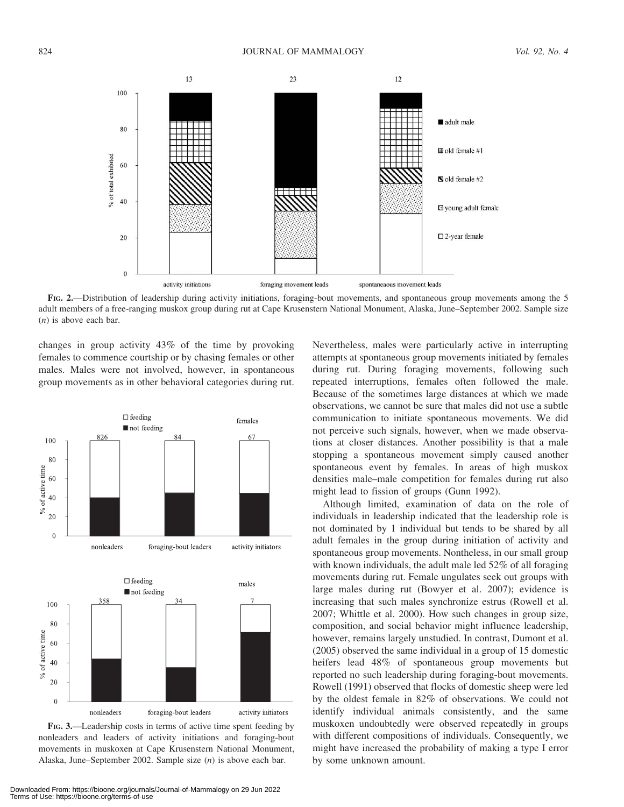

FIG. 2.—Distribution of leadership during activity initiations, foraging-bout movements, and spontaneous group movements among the 5 adult members of a free-ranging muskox group during rut at Cape Krusenstern National Monument, Alaska, June–September 2002. Sample size  $(n)$  is above each bar.

changes in group activity 43% of the time by provoking females to commence courtship or by chasing females or other males. Males were not involved, however, in spontaneous group movements as in other behavioral categories during rut.



FIG. 3.—Leadership costs in terms of active time spent feeding by nonleaders and leaders of activity initiations and foraging-bout movements in muskoxen at Cape Krusenstern National Monument, Alaska, June–September 2002. Sample size (n) is above each bar.

Downloaded From: https://bioone.org/journals/Journal-of-Mammalogy on 29 Jun 2022 Terms of Use: https://bioone.org/terms-of-use

Nevertheless, males were particularly active in interrupting attempts at spontaneous group movements initiated by females during rut. During foraging movements, following such repeated interruptions, females often followed the male. Because of the sometimes large distances at which we made observations, we cannot be sure that males did not use a subtle communication to initiate spontaneous movements. We did not perceive such signals, however, when we made observations at closer distances. Another possibility is that a male stopping a spontaneous movement simply caused another spontaneous event by females. In areas of high muskox densities male–male competition for females during rut also might lead to fission of groups (Gunn 1992).

Although limited, examination of data on the role of individuals in leadership indicated that the leadership role is not dominated by 1 individual but tends to be shared by all adult females in the group during initiation of activity and spontaneous group movements. Nontheless, in our small group with known individuals, the adult male led 52% of all foraging movements during rut. Female ungulates seek out groups with large males during rut (Bowyer et al. 2007); evidence is increasing that such males synchronize estrus (Rowell et al. 2007; Whittle et al. 2000). How such changes in group size, composition, and social behavior might influence leadership, however, remains largely unstudied. In contrast, Dumont et al. (2005) observed the same individual in a group of 15 domestic heifers lead 48% of spontaneous group movements but reported no such leadership during foraging-bout movements. Rowell (1991) observed that flocks of domestic sheep were led by the oldest female in 82% of observations. We could not identify individual animals consistently, and the same muskoxen undoubtedly were observed repeatedly in groups with different compositions of individuals. Consequently, we might have increased the probability of making a type I error by some unknown amount.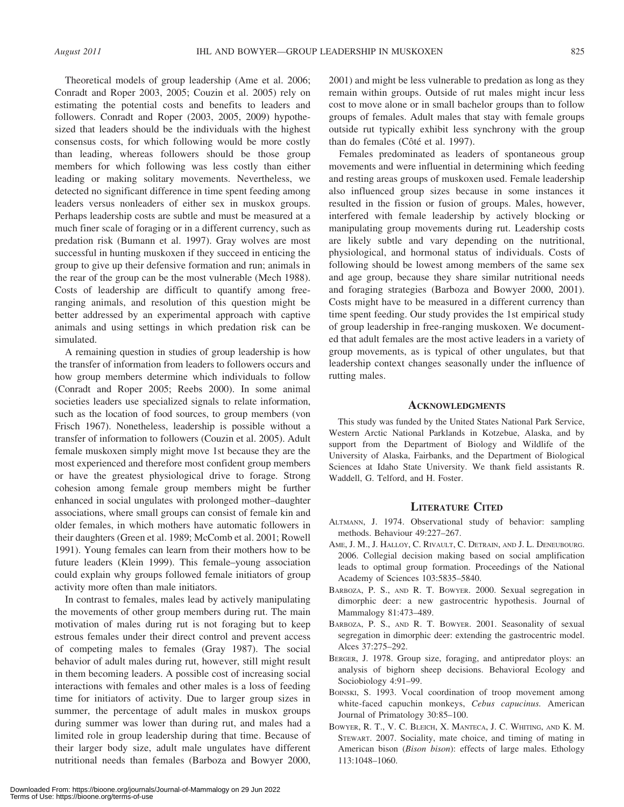Theoretical models of group leadership (Ame et al. 2006; Conradt and Roper 2003, 2005; Couzin et al. 2005) rely on estimating the potential costs and benefits to leaders and followers. Conradt and Roper (2003, 2005, 2009) hypothesized that leaders should be the individuals with the highest consensus costs, for which following would be more costly than leading, whereas followers should be those group members for which following was less costly than either leading or making solitary movements. Nevertheless, we detected no significant difference in time spent feeding among leaders versus nonleaders of either sex in muskox groups. Perhaps leadership costs are subtle and must be measured at a much finer scale of foraging or in a different currency, such as predation risk (Bumann et al. 1997). Gray wolves are most successful in hunting muskoxen if they succeed in enticing the group to give up their defensive formation and run; animals in the rear of the group can be the most vulnerable (Mech 1988). Costs of leadership are difficult to quantify among freeranging animals, and resolution of this question might be better addressed by an experimental approach with captive animals and using settings in which predation risk can be simulated.

A remaining question in studies of group leadership is how the transfer of information from leaders to followers occurs and how group members determine which individuals to follow (Conradt and Roper 2005; Reebs 2000). In some animal societies leaders use specialized signals to relate information, such as the location of food sources, to group members (von Frisch 1967). Nonetheless, leadership is possible without a transfer of information to followers (Couzin et al. 2005). Adult female muskoxen simply might move 1st because they are the most experienced and therefore most confident group members or have the greatest physiological drive to forage. Strong cohesion among female group members might be further enhanced in social ungulates with prolonged mother–daughter associations, where small groups can consist of female kin and older females, in which mothers have automatic followers in their daughters (Green et al. 1989; McComb et al. 2001; Rowell 1991). Young females can learn from their mothers how to be future leaders (Klein 1999). This female–young association could explain why groups followed female initiators of group activity more often than male initiators.

In contrast to females, males lead by actively manipulating the movements of other group members during rut. The main motivation of males during rut is not foraging but to keep estrous females under their direct control and prevent access of competing males to females (Gray 1987). The social behavior of adult males during rut, however, still might result in them becoming leaders. A possible cost of increasing social interactions with females and other males is a loss of feeding time for initiators of activity. Due to larger group sizes in summer, the percentage of adult males in muskox groups during summer was lower than during rut, and males had a limited role in group leadership during that time. Because of their larger body size, adult male ungulates have different nutritional needs than females (Barboza and Bowyer 2000, 2001) and might be less vulnerable to predation as long as they remain within groups. Outside of rut males might incur less cost to move alone or in small bachelor groups than to follow groups of females. Adult males that stay with female groups outside rut typically exhibit less synchrony with the group than do females (Côté et al. 1997).

Females predominated as leaders of spontaneous group movements and were influential in determining which feeding and resting areas groups of muskoxen used. Female leadership also influenced group sizes because in some instances it resulted in the fission or fusion of groups. Males, however, interfered with female leadership by actively blocking or manipulating group movements during rut. Leadership costs are likely subtle and vary depending on the nutritional, physiological, and hormonal status of individuals. Costs of following should be lowest among members of the same sex and age group, because they share similar nutritional needs and foraging strategies (Barboza and Bowyer 2000, 2001). Costs might have to be measured in a different currency than time spent feeding. Our study provides the 1st empirical study of group leadership in free-ranging muskoxen. We documented that adult females are the most active leaders in a variety of group movements, as is typical of other ungulates, but that leadership context changes seasonally under the influence of rutting males.

### **ACKNOWLEDGMENTS**

This study was funded by the United States National Park Service, Western Arctic National Parklands in Kotzebue, Alaska, and by support from the Department of Biology and Wildlife of the University of Alaska, Fairbanks, and the Department of Biological Sciences at Idaho State University. We thank field assistants R. Waddell, G. Telford, and H. Foster.

### LITERATURE CITED

- ALTMANN, J. 1974. Observational study of behavior: sampling methods. Behaviour 49:227–267.
- AME, J. M., J. HALLOY, C. RIVAULT, C. DETRAIN, AND J. L. DENEUBOURG. 2006. Collegial decision making based on social amplification leads to optimal group formation. Proceedings of the National Academy of Sciences 103:5835–5840.
- BARBOZA, P. S., AND R. T. BOWYER. 2000. Sexual segregation in dimorphic deer: a new gastrocentric hypothesis. Journal of Mammalogy 81:473–489.
- BARBOZA, P. S., AND R. T. BOWYER. 2001. Seasonality of sexual segregation in dimorphic deer: extending the gastrocentric model. Alces 37:275–292.
- BERGER, J. 1978. Group size, foraging, and antipredator ploys: an analysis of bighorn sheep decisions. Behavioral Ecology and Sociobiology 4:91–99.
- BOINSKI, S. 1993. Vocal coordination of troop movement among white-faced capuchin monkeys, Cebus capucinus. American Journal of Primatology 30:85–100.
- BOWYER, R. T., V. C. BLEICH, X. MANTECA, J. C. WHITING, AND K. M. STEWART. 2007. Sociality, mate choice, and timing of mating in American bison (Bison bison): effects of large males. Ethology 113:1048–1060.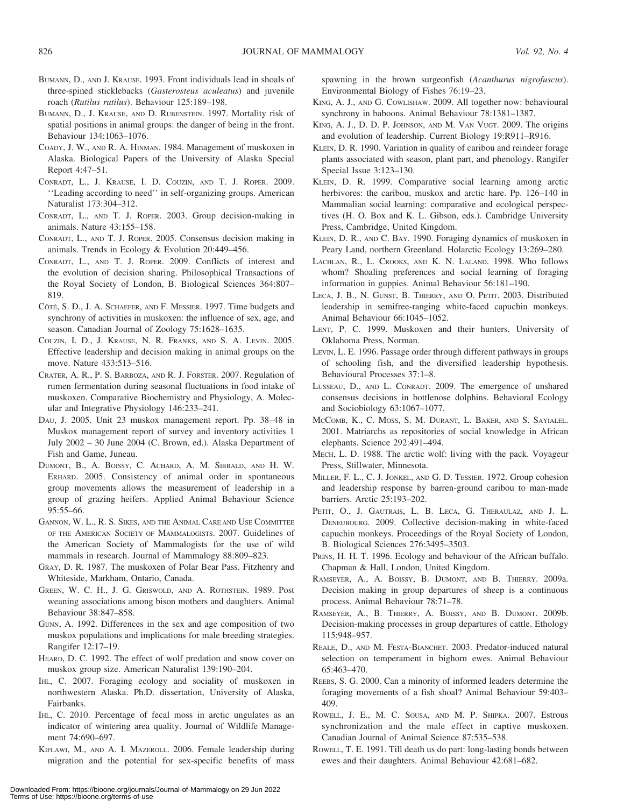- BUMANN, D., AND J. KRAUSE. 1993. Front individuals lead in shoals of three-spined sticklebacks (Gasterosteus aculeatus) and juvenile roach (Rutilus rutilus). Behaviour 125:189–198.
- BUMANN, D., J. KRAUSE, AND D. RUBENSTEIN. 1997. Mortality risk of spatial positions in animal groups: the danger of being in the front. Behaviour 134:1063–1076.
- COADY, J. W., AND R. A. HINMAN. 1984. Management of muskoxen in Alaska. Biological Papers of the University of Alaska Special Report 4:47–51.
- CONRADT, L., J. KRAUSE, I. D. COUZIN, AND T. J. ROPER. 2009. ''Leading according to need'' in self-organizing groups. American Naturalist 173:304–312.
- CONRADT, L., AND T. J. ROPER. 2003. Group decision-making in animals. Nature 43:155–158.
- CONRADT, L., AND T. J. ROPER. 2005. Consensus decision making in animals. Trends in Ecology & Evolution 20:449–456.
- CONRADT, L., AND T. J. ROPER. 2009. Conflicts of interest and the evolution of decision sharing. Philosophical Transactions of the Royal Society of London, B. Biological Sciences 364:807– 819.
- CÔTÉ, S. D., J. A. SCHAEFER, AND F. MESSIER. 1997. Time budgets and synchrony of activities in muskoxen: the influence of sex, age, and season. Canadian Journal of Zoology 75:1628–1635.
- COUZIN, I. D., J. KRAUSE, N. R. FRANKS, AND S. A. LEVIN. 2005. Effective leadership and decision making in animal groups on the move. Nature 433:513–516.
- CRATER, A. R., P. S. BARBOZA, AND R. J. FORSTER. 2007. Regulation of rumen fermentation during seasonal fluctuations in food intake of muskoxen. Comparative Biochemistry and Physiology, A. Molecular and Integrative Physiology 146:233–241.
- DAU, J. 2005. Unit 23 muskox management report. Pp. 38–48 in Muskox management report of survey and inventory activities 1 July 2002 – 30 June 2004 (C. Brown, ed.). Alaska Department of Fish and Game, Juneau.
- DUMONT, B., A. BOISSY, C. ACHARD, A. M. SIBBALD, AND H. W. ERHARD. 2005. Consistency of animal order in spontaneous group movements allows the measurement of leadership in a group of grazing heifers. Applied Animal Behaviour Science 95:55–66.
- GANNON, W. L., R. S. SIKES, AND THE ANIMAL CARE AND USE COMMITTEE OF THE AMERICAN SOCIETY OF MAMMALOGISTS. 2007. Guidelines of the American Society of Mammalogists for the use of wild mammals in research. Journal of Mammalogy 88:809–823.
- GRAY, D. R. 1987. The muskoxen of Polar Bear Pass. Fitzhenry and Whiteside, Markham, Ontario, Canada.
- GREEN, W. C. H., J. G. GRISWOLD, AND A. ROTHSTEIN. 1989. Post weaning associations among bison mothers and daughters. Animal Behaviour 38:847–858.
- GUNN, A. 1992. Differences in the sex and age composition of two muskox populations and implications for male breeding strategies. Rangifer 12:17–19.
- HEARD, D. C. 1992. The effect of wolf predation and snow cover on muskox group size. American Naturalist 139:190–204.
- IHL, C. 2007. Foraging ecology and sociality of muskoxen in northwestern Alaska. Ph.D. dissertation, University of Alaska, Fairbanks.
- IHL, C. 2010. Percentage of fecal moss in arctic ungulates as an indicator of wintering area quality. Journal of Wildlife Management 74:690–697.
- KIFLAWI, M., AND A. I. MAZEROLL. 2006. Female leadership during migration and the potential for sex-specific benefits of mass

spawning in the brown surgeonfish (Acanthurus nigrofuscus). Environmental Biology of Fishes 76:19–23.

- KING, A. J., AND G. COWLISHAW. 2009. All together now: behavioural synchrony in baboons. Animal Behaviour 78:1381–1387.
- KING, A. J., D. D. P. JOHNSON, AND M. VAN VUGT. 2009. The origins and evolution of leadership. Current Biology 19:R911–R916.
- KLEIN, D. R. 1990. Variation in quality of caribou and reindeer forage plants associated with season, plant part, and phenology. Rangifer Special Issue 3:123–130.
- KLEIN, D. R. 1999. Comparative social learning among arctic herbivores: the caribou, muskox and arctic hare. Pp. 126–140 in Mammalian social learning: comparative and ecological perspectives (H. O. Box and K. L. Gibson, eds.). Cambridge University Press, Cambridge, United Kingdom.
- KLEIN, D. R., AND C. BAY. 1990. Foraging dynamics of muskoxen in Peary Land, northern Greenland. Holarctic Ecology 13:269–280.
- LACHLAN, R., L. CROOKS, AND K. N. LALAND. 1998. Who follows whom? Shoaling preferences and social learning of foraging information in guppies. Animal Behaviour 56:181–190.
- LECA, J. B., N. GUNST, B. THIERRY, AND O. PETIT. 2003. Distributed leadership in semifree-ranging white-faced capuchin monkeys. Animal Behaviour 66:1045–1052.
- LENT, P. C. 1999. Muskoxen and their hunters. University of Oklahoma Press, Norman.
- LEVIN, L. E. 1996. Passage order through different pathways in groups of schooling fish, and the diversified leadership hypothesis. Behavioural Processes 37:1–8.
- LUSSEAU, D., AND L. CONRADT. 2009. The emergence of unshared consensus decisions in bottlenose dolphins. Behavioral Ecology and Sociobiology 63:1067–1077.
- MCCOMB, K., C. MOSS, S. M. DURANT, L. BAKER, AND S. SAYIALEL. 2001. Matriarchs as repositories of social knowledge in African elephants. Science 292:491–494.
- MECH, L. D. 1988. The arctic wolf: living with the pack. Voyageur Press, Stillwater, Minnesota.
- MILLER, F. L., C. J. JONKEL, AND G. D. TESSIER. 1972. Group cohesion and leadership response by barren-ground caribou to man-made barriers. Arctic 25:193–202.
- PETIT, O., J. GAUTRAIS, L. B. LECA, G. THERAULAZ, AND J. L. DENEUBOURG. 2009. Collective decision-making in white-faced capuchin monkeys. Proceedings of the Royal Society of London, B. Biological Sciences 276:3495–3503.
- PRINS, H. H. T. 1996. Ecology and behaviour of the African buffalo. Chapman & Hall, London, United Kingdom.
- RAMSEYER, A., A. BOISSY, B. DUMONT, AND B. THIERRY. 2009a. Decision making in group departures of sheep is a continuous process. Animal Behaviour 78:71–78.
- RAMSEYER, A., B. THIERRY, A. BOISSY, AND B. DUMONT. 2009b. Decision-making processes in group departures of cattle. Ethology 115:948–957.
- REALE, D., AND M. FESTA-BIANCHET. 2003. Predator-induced natural selection on temperament in bighorn ewes. Animal Behaviour 65:463–470.
- REEBS, S. G. 2000. Can a minority of informed leaders determine the foraging movements of a fish shoal? Animal Behaviour 59:403– 409.
- ROWELL, J. E., M. C. SOUSA, AND M. P. SHIPKA. 2007. Estrous synchronization and the male effect in captive muskoxen. Canadian Journal of Animal Science 87:535–538.
- ROWELL, T. E. 1991. Till death us do part: long-lasting bonds between ewes and their daughters. Animal Behaviour 42:681–682.